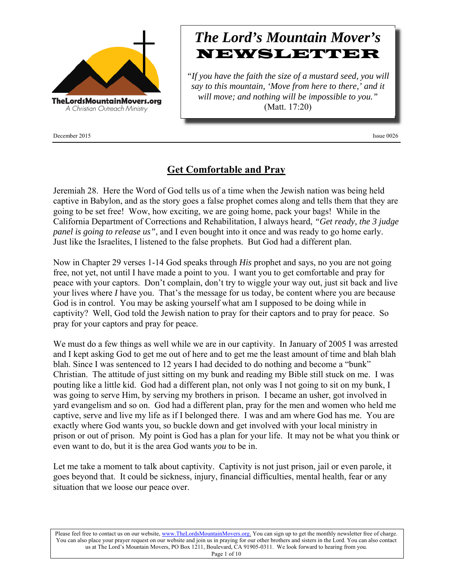

December 2015 Issue 0026

# *The Lord's Mountain Mover's* NEWSLETTER

*"If you have the faith the size of a mustard seed, you will say to this mountain, 'Move from here to there,' and it will move; and nothing will be impossible to you."* (Matt. 17:20)

### **Get Comfortable and Pray**

Jeremiah 28. Here the Word of God tells us of a time when the Jewish nation was being held captive in Babylon, and as the story goes a false prophet comes along and tells them that they are going to be set free! Wow, how exciting, we are going home, pack your bags! While in the California Department of Corrections and Rehabilitation, I always heard, *"Get ready, the 3 judge panel is going to release us"*, and I even bought into it once and was ready to go home early. Just like the Israelites, I listened to the false prophets. But God had a different plan.

Now in Chapter 29 verses 1-14 God speaks through *His* prophet and says, no you are not going free, not yet, not until I have made a point to you. I want you to get comfortable and pray for peace with your captors. Don't complain, don't try to wiggle your way out, just sit back and live your lives where *I* have you. That's the message for us today, be content where you are because God is in control. You may be asking yourself what am I supposed to be doing while in captivity? Well, God told the Jewish nation to pray for their captors and to pray for peace. So pray for your captors and pray for peace.

We must do a few things as well while we are in our captivity. In January of 2005 I was arrested and I kept asking God to get me out of here and to get me the least amount of time and blah blah blah. Since I was sentenced to 12 years I had decided to do nothing and become a "bunk" Christian. The attitude of just sitting on my bunk and reading my Bible still stuck on me. I was pouting like a little kid. God had a different plan, not only was I not going to sit on my bunk, I was going to serve Him, by serving my brothers in prison. I became an usher, got involved in yard evangelism and so on. God had a different plan, pray for the men and women who held me captive, serve and live my life as if I belonged there. I was and am where God has me. You are exactly where God wants you, so buckle down and get involved with your local ministry in prison or out of prison. My point is God has a plan for your life. It may not be what you think or even want to do, but it is the area God wants *you* to be in.

Let me take a moment to talk about captivity. Captivity is not just prison, jail or even parole, it goes beyond that. It could be sickness, injury, financial difficulties, mental health, fear or any situation that we loose our peace over.

Please feel free to contact us on our website, www.TheLordsMountainMovers.org. You can sign up to get the monthly newsletter free of charge. You can also place your prayer request on our website and join us in praying for our other brothers and sisters in the Lord. You can also contact us at The Lord's Mountain Movers, PO Box 1211, Boulevard, CA 91905-0311. We look forward to hearing from you.

Page 1 of 10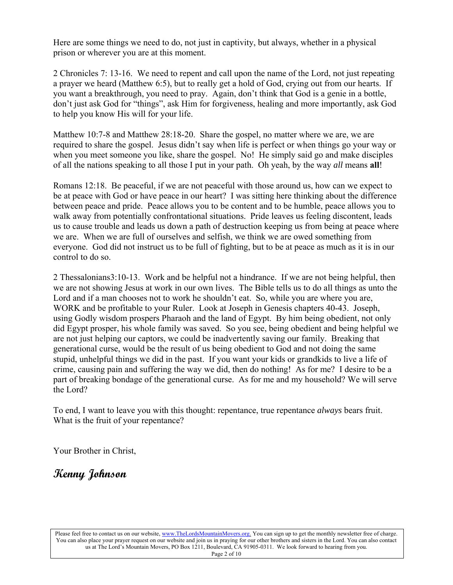Here are some things we need to do, not just in captivity, but always, whether in a physical prison or wherever you are at this moment.

2 Chronicles 7: 13-16. We need to repent and call upon the name of the Lord, not just repeating a prayer we heard (Matthew 6:5), but to really get a hold of God, crying out from our hearts. If you want a breakthrough, you need to pray. Again, don't think that God is a genie in a bottle, don't just ask God for "things", ask Him for forgiveness, healing and more importantly, ask God to help you know His will for your life.

Matthew 10:7-8 and Matthew 28:18-20. Share the gospel, no matter where we are, we are required to share the gospel. Jesus didn't say when life is perfect or when things go your way or when you meet someone you like, share the gospel. No! He simply said go and make disciples of all the nations speaking to all those I put in your path. Oh yeah, by the way *all* means **all**!

Romans 12:18. Be peaceful, if we are not peaceful with those around us, how can we expect to be at peace with God or have peace in our heart? I was sitting here thinking about the difference between peace and pride. Peace allows you to be content and to be humble, peace allows you to walk away from potentially confrontational situations. Pride leaves us feeling discontent, leads us to cause trouble and leads us down a path of destruction keeping us from being at peace where we are. When we are full of ourselves and selfish, we think we are owed something from everyone. God did not instruct us to be full of fighting, but to be at peace as much as it is in our control to do so.

2 Thessalonians3:10-13. Work and be helpful not a hindrance. If we are not being helpful, then we are not showing Jesus at work in our own lives. The Bible tells us to do all things as unto the Lord and if a man chooses not to work he shouldn't eat. So, while you are where you are, WORK and be profitable to your Ruler. Look at Joseph in Genesis chapters 40-43. Joseph, using Godly wisdom prospers Pharaoh and the land of Egypt. By him being obedient, not only did Egypt prosper, his whole family was saved. So you see, being obedient and being helpful we are not just helping our captors, we could be inadvertently saving our family. Breaking that generational curse, would be the result of us being obedient to God and not doing the same stupid, unhelpful things we did in the past. If you want your kids or grandkids to live a life of crime, causing pain and suffering the way we did, then do nothing! As for me? I desire to be a part of breaking bondage of the generational curse. As for me and my household? We will serve the Lord?

To end, I want to leave you with this thought: repentance, true repentance *always* bears fruit. What is the fruit of your repentance?

Your Brother in Christ,

**Kenny Johnson**

Please feel free to contact us on our website, www.TheLordsMountainMovers.org. You can sign up to get the monthly newsletter free of charge. You can also place your prayer request on our website and join us in praying for our other brothers and sisters in the Lord. You can also contact us at The Lord's Mountain Movers, PO Box 1211, Boulevard, CA 91905-0311. We look forward to hearing from you. Page 2 of 10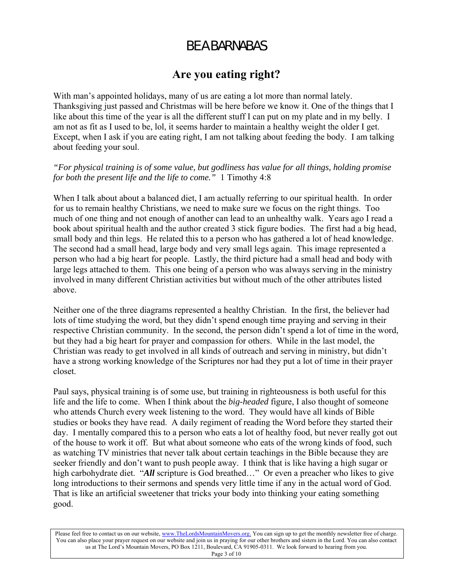## BE A BARNABAS

## **Are you eating right?**

With man's appointed holidays, many of us are eating a lot more than normal lately. Thanksgiving just passed and Christmas will be here before we know it. One of the things that I like about this time of the year is all the different stuff I can put on my plate and in my belly. I am not as fit as I used to be, lol, it seems harder to maintain a healthy weight the older I get. Except, when I ask if you are eating right, I am not talking about feeding the body. I am talking about feeding your soul.

#### *"For physical training is of some value, but godliness has value for all things, holding promise for both the present life and the life to come."* 1 Timothy 4:8

When I talk about about a balanced diet, I am actually referring to our spiritual health. In order for us to remain healthy Christians, we need to make sure we focus on the right things. Too much of one thing and not enough of another can lead to an unhealthy walk. Years ago I read a book about spiritual health and the author created 3 stick figure bodies. The first had a big head, small body and thin legs. He related this to a person who has gathered a lot of head knowledge. The second had a small head, large body and very small legs again. This image represented a person who had a big heart for people. Lastly, the third picture had a small head and body with large legs attached to them. This one being of a person who was always serving in the ministry involved in many different Christian activities but without much of the other attributes listed above.

Neither one of the three diagrams represented a healthy Christian. In the first, the believer had lots of time studying the word, but they didn't spend enough time praying and serving in their respective Christian community. In the second, the person didn't spend a lot of time in the word, but they had a big heart for prayer and compassion for others. While in the last model, the Christian was ready to get involved in all kinds of outreach and serving in ministry, but didn't have a strong working knowledge of the Scriptures nor had they put a lot of time in their prayer closet.

Paul says, physical training is of some use, but training in righteousness is both useful for this life and the life to come. When I think about the *big-headed* figure, I also thought of someone who attends Church every week listening to the word. They would have all kinds of Bible studies or books they have read. A daily regiment of reading the Word before they started their day. I mentally compared this to a person who eats a lot of healthy food, but never really got out of the house to work it off. But what about someone who eats of the wrong kinds of food, such as watching TV ministries that never talk about certain teachings in the Bible because they are seeker friendly and don't want to push people away. I think that is like having a high sugar or high carbohydrate diet. "*All* scripture is God breathed..." Or even a preacher who likes to give long introductions to their sermons and spends very little time if any in the actual word of God. That is like an artificial sweetener that tricks your body into thinking your eating something good.

Please feel free to contact us on our website, www.TheLordsMountainMovers.org. You can sign up to get the monthly newsletter free of charge. You can also place your prayer request on our website and join us in praying for our other brothers and sisters in the Lord. You can also contact us at The Lord's Mountain Movers, PO Box 1211, Boulevard, CA 91905-0311. We look forward to hearing from you. Page 3 of 10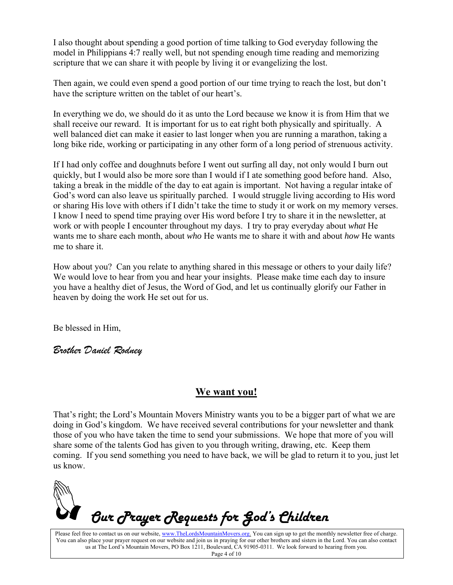I also thought about spending a good portion of time talking to God everyday following the model in Philippians 4:7 really well, but not spending enough time reading and memorizing scripture that we can share it with people by living it or evangelizing the lost.

Then again, we could even spend a good portion of our time trying to reach the lost, but don't have the scripture written on the tablet of our heart's.

In everything we do, we should do it as unto the Lord because we know it is from Him that we shall receive our reward. It is important for us to eat right both physically and spiritually. A well balanced diet can make it easier to last longer when you are running a marathon, taking a long bike ride, working or participating in any other form of a long period of strenuous activity.

If I had only coffee and doughnuts before I went out surfing all day, not only would I burn out quickly, but I would also be more sore than I would if I ate something good before hand. Also, taking a break in the middle of the day to eat again is important. Not having a regular intake of God's word can also leave us spiritually parched. I would struggle living according to His word or sharing His love with others if I didn't take the time to study it or work on my memory verses. I know I need to spend time praying over His word before I try to share it in the newsletter, at work or with people I encounter throughout my days. I try to pray everyday about *what* He wants me to share each month, about *who* He wants me to share it with and about *how* He wants me to share it.

How about you? Can you relate to anything shared in this message or others to your daily life? We would love to hear from you and hear your insights. Please make time each day to insure you have a healthy diet of Jesus, the Word of God, and let us continually glorify our Father in heaven by doing the work He set out for us.

Be blessed in Him,

*Brother Daniel Rodney* 

#### **We want you!**

That's right; the Lord's Mountain Movers Ministry wants you to be a bigger part of what we are doing in God's kingdom. We have received several contributions for your newsletter and thank those of you who have taken the time to send your submissions. We hope that more of you will share some of the talents God has given to you through writing, drawing, etc. Keep them coming. If you send something you need to have back, we will be glad to return it to you, just let us know.



Please feel free to contact us on our website, www.TheLordsMountainMovers.org. You can sign up to get the monthly newsletter free of charge. You can also place your prayer request on our website and join us in praying for our other brothers and sisters in the Lord. You can also contact us at The Lord's Mountain Movers, PO Box 1211, Boulevard, CA 91905-0311. We look forward to hearing from you.

Page 4 of 10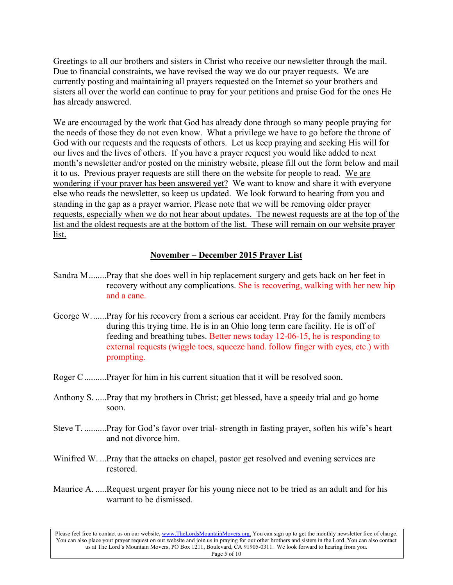Greetings to all our brothers and sisters in Christ who receive our newsletter through the mail. Due to financial constraints, we have revised the way we do our prayer requests. We are currently posting and maintaining all prayers requested on the Internet so your brothers and sisters all over the world can continue to pray for your petitions and praise God for the ones He has already answered.

We are encouraged by the work that God has already done through so many people praying for the needs of those they do not even know. What a privilege we have to go before the throne of God with our requests and the requests of others. Let us keep praying and seeking His will for our lives and the lives of others. If you have a prayer request you would like added to next month's newsletter and/or posted on the ministry website, please fill out the form below and mail it to us. Previous prayer requests are still there on the website for people to read. We are wondering if your prayer has been answered yet? We want to know and share it with everyone else who reads the newsletter, so keep us updated. We look forward to hearing from you and standing in the gap as a prayer warrior. Please note that we will be removing older prayer requests, especially when we do not hear about updates. The newest requests are at the top of the list and the oldest requests are at the bottom of the list. These will remain on our website prayer list.

#### **November – December 2015 Prayer List**

- Sandra M ........Pray that she does well in hip replacement surgery and gets back on her feet in recovery without any complications. She is recovering, walking with her new hip and a cane.
- George W. ......Pray for his recovery from a serious car accident. Pray for the family members during this trying time. He is in an Ohio long term care facility. He is off of feeding and breathing tubes. Better news today 12-06-15, he is responding to external requests (wiggle toes, squeeze hand. follow finger with eyes, etc.) with prompting.
- Roger C ..........Prayer for him in his current situation that it will be resolved soon.
- Anthony S. .....Pray that my brothers in Christ; get blessed, have a speedy trial and go home soon.
- Steve T. ..........Pray for God's favor over trial- strength in fasting prayer, soften his wife's heart and not divorce him.
- Winifred W. ...Pray that the attacks on chapel, pastor get resolved and evening services are restored.
- Maurice A. .....Request urgent prayer for his young niece not to be tried as an adult and for his warrant to be dismissed.

Please feel free to contact us on our website, www.TheLordsMountainMovers.org. You can sign up to get the monthly newsletter free of charge. You can also place your prayer request on our website and join us in praying for our other brothers and sisters in the Lord. You can also contact us at The Lord's Mountain Movers, PO Box 1211, Boulevard, CA 91905-0311. We look forward to hearing from you. Page 5 of 10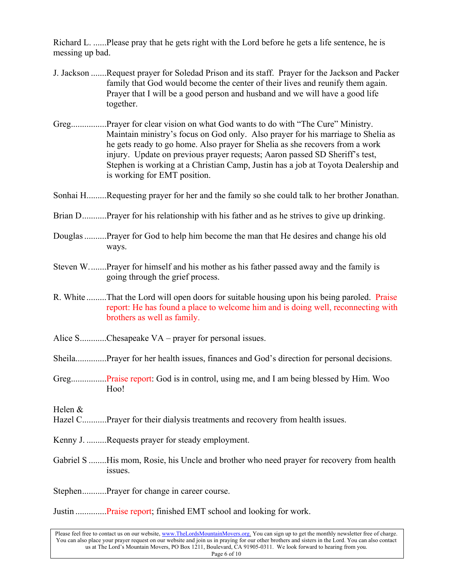Richard L. ......Please pray that he gets right with the Lord before he gets a life sentence, he is messing up bad.

- J. Jackson .......Request prayer for Soledad Prison and its staff. Prayer for the Jackson and Packer family that God would become the center of their lives and reunify them again. Prayer that I will be a good person and husband and we will have a good life together.
- Greg................Prayer for clear vision on what God wants to do with "The Cure" Ministry. Maintain ministry's focus on God only. Also prayer for his marriage to Shelia as he gets ready to go home. Also prayer for Shelia as she recovers from a work injury. Update on previous prayer requests; Aaron passed SD Sheriff's test, Stephen is working at a Christian Camp, Justin has a job at Toyota Dealership and is working for EMT position.
- Sonhai H.........Requesting prayer for her and the family so she could talk to her brother Jonathan.
- Brian D............Prayer for his relationship with his father and as he strives to give up drinking.
- Douglas ..........Prayer for God to help him become the man that He desires and change his old ways.
- Steven W. .......Prayer for himself and his mother as his father passed away and the family is going through the grief process.
- R. White .........That the Lord will open doors for suitable housing upon his being paroled. Praise report: He has found a place to welcome him and is doing well, reconnecting with brothers as well as family.
- Alice S............Chesapeake  $VA$  prayer for personal issues.
- Sheila..............Prayer for her health issues, finances and God's direction for personal decisions.
- Greg................Praise report: God is in control, using me, and I am being blessed by Him. Woo Hoo!

- Hazel C...........Prayer for their dialysis treatments and recovery from health issues.
- Kenny J. .........Requests prayer for steady employment.
- Gabriel S ........His mom, Rosie, his Uncle and brother who need prayer for recovery from health issues.
- Stephen...........Prayer for change in career course.

Justin ..............Praise report; finished EMT school and looking for work.

Please feel free to contact us on our website, www.TheLordsMountainMovers.org. You can sign up to get the monthly newsletter free of charge. You can also place your prayer request on our website and join us in praying for our other brothers and sisters in the Lord. You can also contact us at The Lord's Mountain Movers, PO Box 1211, Boulevard, CA 91905-0311. We look forward to hearing from you. Page 6 of 10

Helen &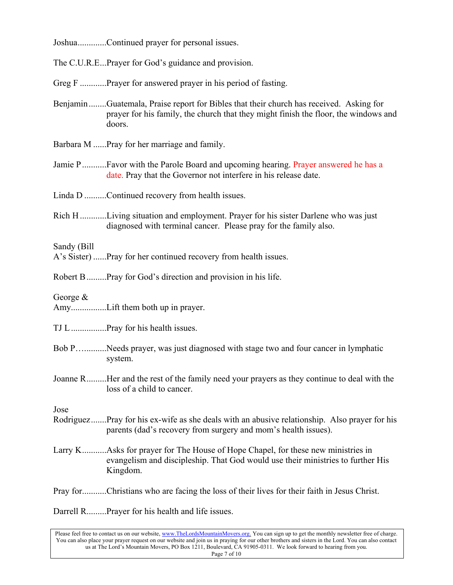Joshua.............Continued prayer for personal issues.

The C.U.R.E...Prayer for God's guidance and provision.

Greg F .............Prayer for answered prayer in his period of fasting.

- Benjamin ........Guatemala, Praise report for Bibles that their church has received. Asking for prayer for his family, the church that they might finish the floor, the windows and doors.
- Barbara M ......Pray for her marriage and family.
- Jamie P .............Favor with the Parole Board and upcoming hearing. Prayer answered he has a date. Pray that the Governor not interfere in his release date.

Linda D ..........Continued recovery from health issues.

Rich H ............Living situation and employment. Prayer for his sister Darlene who was just diagnosed with terminal cancer. Please pray for the family also.

Sandy (Bill

A's Sister) ......Pray for her continued recovery from health issues.

Robert B .........Pray for God's direction and provision in his life.

George &

Amy................Lift them both up in prayer.

TJ L ................Pray for his health issues.

- Bob P…..........Needs prayer, was just diagnosed with stage two and four cancer in lymphatic system.
- Joanne R .........Her and the rest of the family need your prayers as they continue to deal with the loss of a child to cancer.

Jose

- Rodriguez .......Pray for his ex-wife as she deals with an abusive relationship. Also prayer for his parents (dad's recovery from surgery and mom's health issues).
- Larry K............Asks for prayer for The House of Hope Chapel, for these new ministries in evangelism and discipleship. That God would use their ministries to further His Kingdom.

Pray for...........Christians who are facing the loss of their lives for their faith in Jesus Christ.

Darrell R.........Prayer for his health and life issues.

Please feel free to contact us on our website, www.TheLordsMountainMovers.org. You can sign up to get the monthly newsletter free of charge. You can also place your prayer request on our website and join us in praying for our other brothers and sisters in the Lord. You can also contact us at The Lord's Mountain Movers, PO Box 1211, Boulevard, CA 91905-0311. We look forward to hearing from you. Page 7 of 10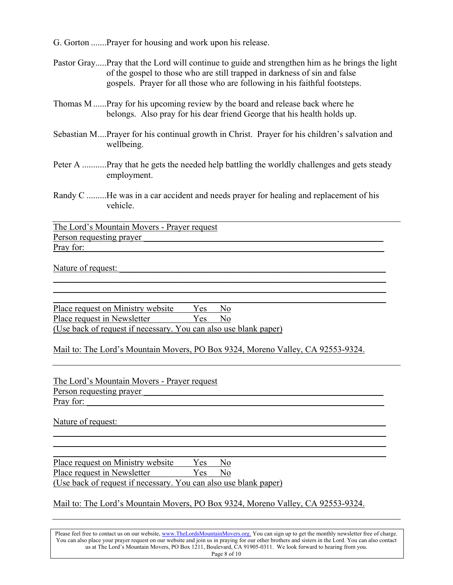G. Gorton .......Prayer for housing and work upon his release.

- Pastor Gray.....Pray that the Lord will continue to guide and strengthen him as he brings the light of the gospel to those who are still trapped in darkness of sin and false gospels. Prayer for all those who are following in his faithful footsteps.
- Thomas M ......Pray for his upcoming review by the board and release back where he belongs. Also pray for his dear friend George that his health holds up.
- Sebastian M....Prayer for his continual growth in Christ. Prayer for his children's salvation and wellbeing.
- Peter A ...........Pray that he gets the needed help battling the worldly challenges and gets steady employment.
- Randy C .........He was in a car accident and needs prayer for healing and replacement of his vehicle.

\_\_\_\_\_\_\_\_\_\_\_\_\_\_\_\_\_\_\_\_\_\_\_\_\_\_\_\_\_\_\_\_\_\_\_\_\_\_\_\_\_\_\_\_\_\_\_\_\_\_\_\_\_\_\_\_\_\_\_\_\_\_\_\_\_\_\_\_\_\_\_\_\_\_\_  $\frac{1}{2}$  ,  $\frac{1}{2}$  ,  $\frac{1}{2}$  ,  $\frac{1}{2}$  ,  $\frac{1}{2}$  ,  $\frac{1}{2}$  ,  $\frac{1}{2}$  ,  $\frac{1}{2}$  ,  $\frac{1}{2}$  ,  $\frac{1}{2}$  ,  $\frac{1}{2}$  ,  $\frac{1}{2}$  ,  $\frac{1}{2}$  ,  $\frac{1}{2}$  ,  $\frac{1}{2}$  ,  $\frac{1}{2}$  ,  $\frac{1}{2}$  ,  $\frac{1}{2}$  ,  $\frac{1$  $\frac{1}{2}$  ,  $\frac{1}{2}$  ,  $\frac{1}{2}$  ,  $\frac{1}{2}$  ,  $\frac{1}{2}$  ,  $\frac{1}{2}$  ,  $\frac{1}{2}$  ,  $\frac{1}{2}$  ,  $\frac{1}{2}$  ,  $\frac{1}{2}$  ,  $\frac{1}{2}$  ,  $\frac{1}{2}$  ,  $\frac{1}{2}$  ,  $\frac{1}{2}$  ,  $\frac{1}{2}$  ,  $\frac{1}{2}$  ,  $\frac{1}{2}$  ,  $\frac{1}{2}$  ,  $\frac{1$ 

The Lord's Mountain Movers - Prayer request Person requesting prayer Pray for:

Nature of request:

Place request on Ministry website Yes No Place request in Newsletter Yes No (Use back of request if necessary. You can also use blank paper)

Mail to: The Lord's Mountain Movers, PO Box 9324, Moreno Valley, CA 92553-9324.

The Lord's Mountain Movers - Prayer request Person requesting prayer Pray for:

Nature of request:

\_\_\_\_\_\_\_\_\_\_\_\_\_\_\_\_\_\_\_\_\_\_\_\_\_\_\_\_\_\_\_\_\_\_\_\_\_\_\_\_\_\_\_\_\_\_\_\_\_\_\_\_\_\_\_\_\_\_\_\_\_\_\_\_\_\_\_\_\_\_\_\_\_\_\_ Place request on Ministry website Yes No Place request in Newsletter Yes No (Use back of request if necessary. You can also use blank paper)

#### Mail to: The Lord's Mountain Movers, PO Box 9324, Moreno Valley, CA 92553-9324.

 $\frac{1}{2}$  ,  $\frac{1}{2}$  ,  $\frac{1}{2}$  ,  $\frac{1}{2}$  ,  $\frac{1}{2}$  ,  $\frac{1}{2}$  ,  $\frac{1}{2}$  ,  $\frac{1}{2}$  ,  $\frac{1}{2}$  ,  $\frac{1}{2}$  ,  $\frac{1}{2}$  ,  $\frac{1}{2}$  ,  $\frac{1}{2}$  ,  $\frac{1}{2}$  ,  $\frac{1}{2}$  ,  $\frac{1}{2}$  ,  $\frac{1}{2}$  ,  $\frac{1}{2}$  ,  $\frac{1$  $\frac{1}{2}$  ,  $\frac{1}{2}$  ,  $\frac{1}{2}$  ,  $\frac{1}{2}$  ,  $\frac{1}{2}$  ,  $\frac{1}{2}$  ,  $\frac{1}{2}$  ,  $\frac{1}{2}$  ,  $\frac{1}{2}$  ,  $\frac{1}{2}$  ,  $\frac{1}{2}$  ,  $\frac{1}{2}$  ,  $\frac{1}{2}$  ,  $\frac{1}{2}$  ,  $\frac{1}{2}$  ,  $\frac{1}{2}$  ,  $\frac{1}{2}$  ,  $\frac{1}{2}$  ,  $\frac{1$ 

Please feel free to contact us on our website, www.TheLordsMountainMovers.org. You can sign up to get the monthly newsletter free of charge. You can also place your prayer request on our website and join us in praying for our other brothers and sisters in the Lord. You can also contact us at The Lord's Mountain Movers, PO Box 1211, Boulevard, CA 91905-0311. We look forward to hearing from you. Page 8 of 10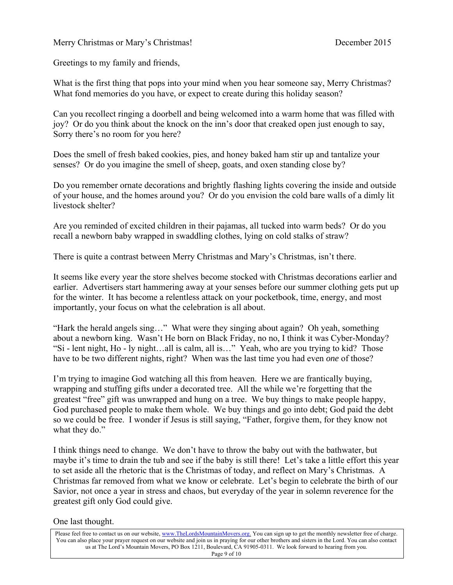Greetings to my family and friends,

What is the first thing that pops into your mind when you hear someone say, Merry Christmas? What fond memories do you have, or expect to create during this holiday season?

Can you recollect ringing a doorbell and being welcomed into a warm home that was filled with joy? Or do you think about the knock on the inn's door that creaked open just enough to say, Sorry there's no room for you here?

Does the smell of fresh baked cookies, pies, and honey baked ham stir up and tantalize your senses? Or do you imagine the smell of sheep, goats, and oxen standing close by?

Do you remember ornate decorations and brightly flashing lights covering the inside and outside of your house, and the homes around you? Or do you envision the cold bare walls of a dimly lit livestock shelter?

Are you reminded of excited children in their pajamas, all tucked into warm beds? Or do you recall a newborn baby wrapped in swaddling clothes, lying on cold stalks of straw?

There is quite a contrast between Merry Christmas and Mary's Christmas, isn't there.

It seems like every year the store shelves become stocked with Christmas decorations earlier and earlier. Advertisers start hammering away at your senses before our summer clothing gets put up for the winter. It has become a relentless attack on your pocketbook, time, energy, and most importantly, your focus on what the celebration is all about.

"Hark the herald angels sing…" What were they singing about again? Oh yeah, something about a newborn king. Wasn't He born on Black Friday, no no, I think it was Cyber-Monday? "Si - lent night, Ho - ly night…all is calm, all is…" Yeah, who are you trying to kid? Those have to be two different nights, right? When was the last time you had even *one* of those?

I'm trying to imagine God watching all this from heaven. Here we are frantically buying, wrapping and stuffing gifts under a decorated tree. All the while we're forgetting that the greatest "free" gift was unwrapped and hung on a tree. We buy things to make people happy, God purchased people to make them whole. We buy things and go into debt; God paid the debt so we could be free. I wonder if Jesus is still saying, "Father, forgive them, for they know not what they do."

I think things need to change. We don't have to throw the baby out with the bathwater, but maybe it's time to drain the tub and see if the baby is still there! Let's take a little effort this year to set aside all the rhetoric that is the Christmas of today, and reflect on Mary's Christmas. A Christmas far removed from what we know or celebrate. Let's begin to celebrate the birth of our Savior, not once a year in stress and chaos, but everyday of the year in solemn reverence for the greatest gift only God could give.

One last thought.

Please feel free to contact us on our website, www.TheLordsMountainMovers.org. You can sign up to get the monthly newsletter free of charge. You can also place your prayer request on our website and join us in praying for our other brothers and sisters in the Lord. You can also contact us at The Lord's Mountain Movers, PO Box 1211, Boulevard, CA 91905-0311. We look forward to hearing from you.